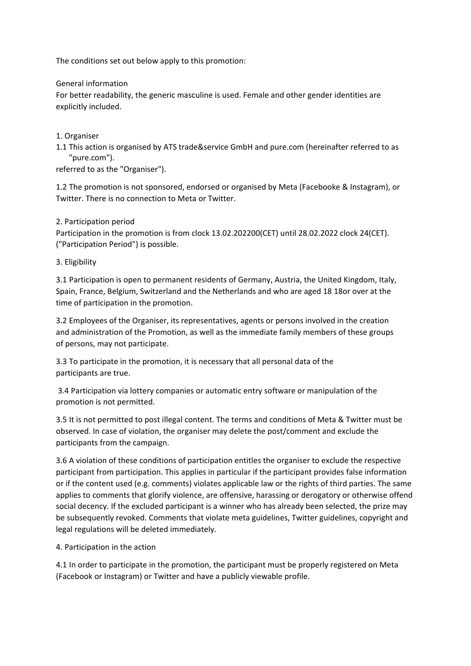The conditions set out below apply to this promotion:

## General information

For better readability, the generic masculine is used. Female and other gender identities are explicitly included.

1. Organiser

1.1 This action is organised by ATS trade&service GmbH and pure.com (hereinafter referred to as "pure.com").

referred to as the "Organiser").

1.2 The promotion is not sponsored, endorsed or organised by Meta (Facebooke & Instagram), or Twitter. There is no connection to Meta or Twitter.

# 2. Participation period

Participation in the promotion is from clock 13.02.202200(CET) until 28.02.2022 clock 24(CET). ("Participation Period") is possible.

3. Eligibility

3.1 Participation is open to permanent residents of Germany, Austria, the United Kingdom, Italy, Spain, France, Belgium, Switzerland and the Netherlands and who are aged 18 18or over at the time of participation in the promotion.

3.2 Employees of the Organiser, its representatives, agents or persons involved in the creation and administration of the Promotion, as well as the immediate family members of these groups of persons, may not participate.

3.3 To participate in the promotion, it is necessary that all personal data of the participants are true.

3.4 Participation via lottery companies or automatic entry software or manipulation of the promotion is not permitted.

3.5 It is not permitted to post illegal content. The terms and conditions of Meta & Twitter must be observed. In case of violation, the organiser may delete the post/comment and exclude the participants from the campaign.

3.6 A violation of these conditions of participation entitles the organiser to exclude the respective participant from participation. This applies in particular if the participant provides false information or if the content used (e.g. comments) violates applicable law or the rights of third parties. The same applies to comments that glorify violence, are offensive, harassing or derogatory or otherwise offend social decency. If the excluded participant is a winner who has already been selected, the prize may be subsequently revoked. Comments that violate meta guidelines, Twitter guidelines, copyright and legal regulations will be deleted immediately.

# 4. Participation in the action

4.1 In order to participate in the promotion, the participant must be properly registered on Meta (Facebook or Instagram) or Twitter and have a publicly viewable profile.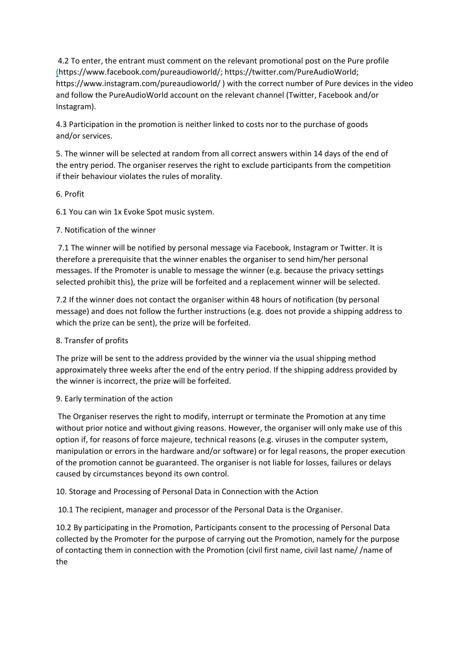4.2 To enter, the entrant must comment on the relevant promotional post on the Pure profile [\(h](https://www.facebook.com/pureaudioworld/)ttps://www.facebook.com/pureaudioworld/; https://twitter.com/PureAudioWorld; [https://www.instagram.com/pureaudioworld/](http://www.instagram.com/pureaudioworld/) ) with the correct number of Pure devices in the video and follow the PureAudioWorld account on the relevant channel (Twitter, Facebook and/or Instagram).

4.3 Participation in the promotion is neither linked to costs nor to the purchase of goods and/or services.

5. The winner will be selected at random from all correct answers within 14 days of the end of the entry period. The organiser reserves the right to exclude participants from the competition if their behaviour violates the rules of morality.

## 6. Profit

6.1 You can win 1x Evoke Spot music system.

## 7. Notification of the winner

7.1 The winner will be notified by personal message via Facebook, Instagram or Twitter. It is therefore a prerequisite that the winner enables the organiser to send him/her personal messages. If the Promoter is unable to message the winner (e.g. because the privacy settings selected prohibit this), the prize will be forfeited and a replacement winner will be selected.

7.2 If the winner does not contact the organiser within 48 hours of notification (by personal message) and does not follow the further instructions (e.g. does not provide a shipping address to which the prize can be sent), the prize will be forfeited.

# 8. Transfer of profits

The prize will be sent to the address provided by the winner via the usual shipping method approximately three weeks after the end of the entry period. If the shipping address provided by the winner is incorrect, the prize will be forfeited.

# 9. Early termination of the action

The Organiser reserves the right to modify, interrupt or terminate the Promotion at any time without prior notice and without giving reasons. However, the organiser will only make use of this option if, for reasons of force majeure, technical reasons (e.g. viruses in the computer system, manipulation or errors in the hardware and/or software) or for legal reasons, the proper execution of the promotion cannot be guaranteed. The organiser is not liable for losses, failures or delays caused by circumstances beyond its own control.

# 10. Storage and Processing of Personal Data in Connection with the Action

10.1 The recipient, manager and processor of the Personal Data is the Organiser.

10.2 By participating in the Promotion, Participants consent to the processing of Personal Data collected by the Promoter for the purpose of carrying out the Promotion, namely for the purpose of contacting them in connection with the Promotion (civil first name, civil last name/ /name of the